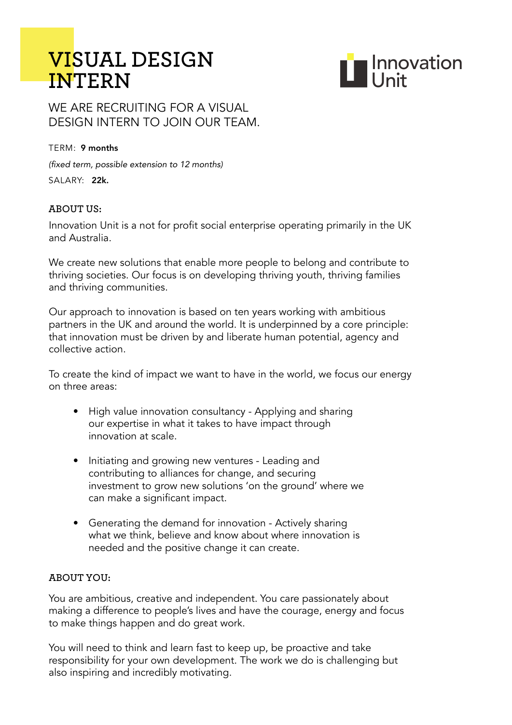# **VI**SUAL DESIGN<br>INTERN



# WE ARE RECRUITING FOR A VISUAL DESIGN INTERN TO JOIN OUR TEAM.

#### $TFRM \cdot 9$  months

(fixed term, possible extension to 12 months) SALARY: 22k.

## **ABOUT US:**

Innovation Unit is a not for profit social enterprise operating primarily in the UK and Australia.

We create new solutions that enable more people to belong and contribute to thriving societies. Our focus is on developing thriving youth, thriving families and thriving communities.

Our approach to innovation is based on ten years working with ambitious partners in the UK and around the world. It is underpinned by a core principle: that innovation must be driven by and liberate human potential, agency and collective action.

To create the kind of impact we want to have in the world, we focus our energy on three areas:

- High value innovation consultancy Applying and sharing our expertise in what it takes to have impact through innovation at scale.
- Initiating and growing new ventures Leading and contributing to alliances for change, and securing investment to grow new solutions 'on the ground' where we can make a significant impact.
- Generating the demand for innovation Actively sharing what we think, believe and know about where innovation is needed and the positive change it can create.

#### **aBOuT yOu:**

You are ambitious, creative and independent. You care passionately about making a difference to people's lives and have the courage, energy and focus to make things happen and do great work.

You will need to think and learn fast to keep up, be proactive and take responsibility for your own development. The work we do is challenging but also inspiring and incredibly motivating.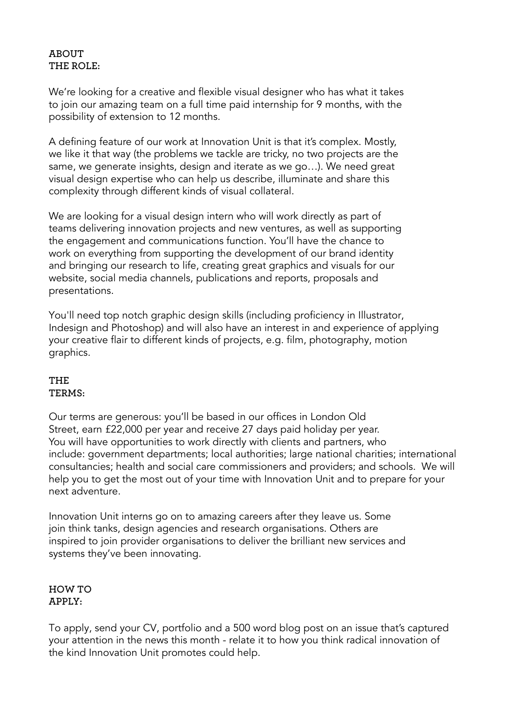# **aBOuT The ROle:**

We're looking for a creative and flexible visual designer who has what it takes to join our amazing team on a full time paid internship for 9 months, with the possibility of extension to 12 months.

A defining feature of our work at Innovation Unit is that it's complex. Mostly, we like it that way (the problems we tackle are tricky, no two projects are the same, we generate insights, design and iterate as we go…). We need great visual design expertise who can help us describe, illuminate and share this complexity through different kinds of visual collateral.

We are looking for a visual design intern who will work directly as part of teams delivering innovation projects and new ventures, as well as supporting the engagement and communications function. You'll have the chance to work on everything from supporting the development of our brand identity and bringing our research to life, creating great graphics and visuals for our website, social media channels, publications and reports, proposals and presentations.

You'll need top notch graphic design skills (including proficiency in Illustrator, Indesign and Photoshop) and will also have an interest in and experience of applying your creative flair to different kinds of projects, e.g. film, photography, motion graphics.

## **The TeRms:**

Our terms are generous: you'll be based in our offices in London Old Street, earn £22,000 per year and receive 27 days paid holiday per year. You will have opportunities to work directly with clients and partners, who include: government departments; local authorities; large national charities; international consultancies; health and social care commissioners and providers; and schools. We will help you to get the most out of your time with Innovation Unit and to prepare for your next adventure.

Innovation Unit interns go on to amazing careers after they leave us. Some join think tanks, design agencies and research organisations. Others are inspired to join provider organisations to deliver the brilliant new services and systems they've been innovating.

#### **hOw TO apply:**

To apply, send your CV, portfolio and a 500 word blog post on an issue that's captured your attention in the news this month - relate it to how you think radical innovation of the kind Innovation Unit promotes could help.